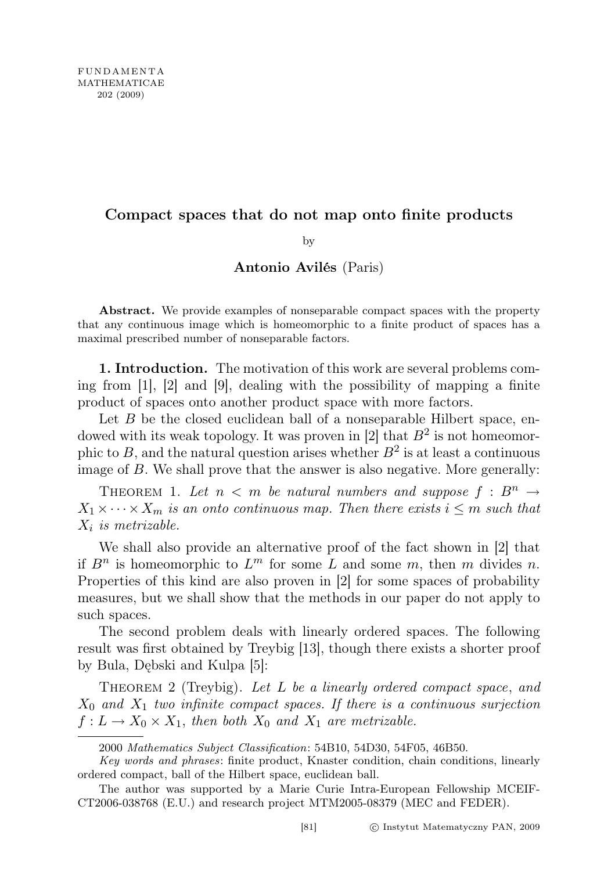# Compact spaces that do not map onto finite products

### by

# Antonio Avilés (Paris)

Abstract. We provide examples of nonseparable compact spaces with the property that any continuous image which is homeomorphic to a finite product of spaces has a maximal prescribed number of nonseparable factors.

1. Introduction. The motivation of this work are several problems coming from [1], [2] and [9], dealing with the possibility of mapping a finite product of spaces onto another product space with more factors.

Let  $B$  be the closed euclidean ball of a nonseparable Hilbert space, endowed with its weak topology. It was proven in [2] that  $B^2$  is not homeomorphic to B, and the natural question arises whether  $B^2$  is at least a continuous image of B. We shall prove that the answer is also negative. More generally:

THEOREM 1. Let  $n < m$  be natural numbers and suppose  $f : B^n \rightarrow$  $X_1 \times \cdots \times X_m$  is an onto continuous map. Then there exists  $i \leq m$  such that  $X_i$  is metrizable.

We shall also provide an alternative proof of the fact shown in [2] that if  $B^n$  is homeomorphic to  $L^m$  for some L and some  $m$ , then  $m$  divides  $n$ . Properties of this kind are also proven in [2] for some spaces of probability measures, but we shall show that the methods in our paper do not apply to such spaces.

The second problem deals with linearly ordered spaces. The following result was first obtained by Treybig [13], though there exists a shorter proof by Bula, Dębski and Kulpa [5]:

THEOREM 2 (Treybig). Let L be a linearly ordered compact space, and  $X_0$  and  $X_1$  two infinite compact spaces. If there is a continuous surjection  $f: L \to X_0 \times X_1$ , then both  $X_0$  and  $X_1$  are metrizable.

<sup>2000</sup> Mathematics Subject Classification: 54B10, 54D30, 54F05, 46B50.

Key words and phrases: finite product, Knaster condition, chain conditions, linearly ordered compact, ball of the Hilbert space, euclidean ball.

The author was supported by a Marie Curie Intra-European Fellowship MCEIF-CT2006-038768 (E.U.) and research project MTM2005-08379 (MEC and FEDER).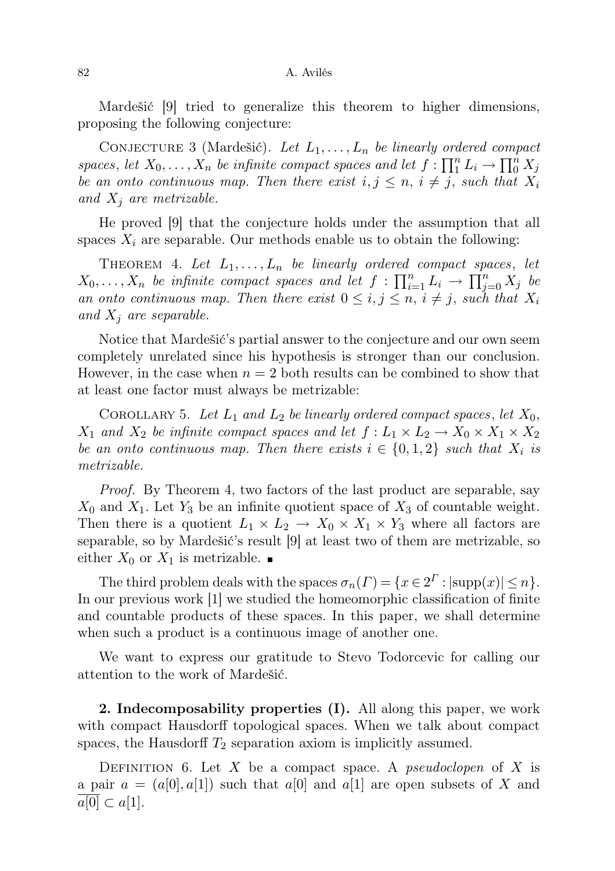Mardešić [9] tried to generalize this theorem to higher dimensions, proposing the following conjecture:

CONJECTURE 3 (Mardešić). Let  $L_1, \ldots, L_n$  be linearly ordered compact spaces, let  $X_0, \ldots, X_n$  be infinite compact spaces and let  $f : \prod_{i=1}^{n} L_i \to \prod_{i=1}^{n} X_j$ be an onto continuous map. Then there exist  $i, j \leq n, i \neq j$ , such that  $X_i$ and  $X_i$  are metrizable.

He proved [9] that the conjecture holds under the assumption that all spaces  $X_i$  are separable. Our methods enable us to obtain the following:

THEOREM 4. Let  $L_1, \ldots, L_n$  be linearly ordered compact spaces, let  $X_0, \ldots, X_n$  be infinite compact spaces and let  $f: \prod_{i=1}^n L_i \to \prod_{j=0}^n X_j$  be an onto continuous map. Then there exist  $0 \leq i, j \leq n, i \neq j$ , such that  $X_i$ and  $X_i$  are separable.

Notice that Mardešić's partial answer to the conjecture and our own seem completely unrelated since his hypothesis is stronger than our conclusion. However, in the case when  $n = 2$  both results can be combined to show that at least one factor must always be metrizable:

COROLLARY 5. Let  $L_1$  and  $L_2$  be linearly ordered compact spaces, let  $X_0$ ,  $X_1$  and  $X_2$  be infinite compact spaces and let  $f: L_1 \times L_2 \to X_0 \times X_1 \times X_2$ be an onto continuous map. Then there exists  $i \in \{0,1,2\}$  such that  $X_i$  is metrizable.

Proof. By Theorem 4, two factors of the last product are separable, say  $X_0$  and  $X_1$ . Let  $Y_3$  be an infinite quotient space of  $X_3$  of countable weight. Then there is a quotient  $L_1 \times L_2 \to X_0 \times X_1 \times Y_3$  where all factors are separable, so by Mardešić's result [9] at least two of them are metrizable, so either  $X_0$  or  $X_1$  is metrizable.

The third problem deals with the spaces  $\sigma_n(\Gamma) = \{x \in 2^{\Gamma} : |\text{supp}(x)| \leq n\}.$ In our previous work [1] we studied the homeomorphic classification of finite and countable products of these spaces. In this paper, we shall determine when such a product is a continuous image of another one.

We want to express our gratitude to Stevo Todorcevic for calling our attention to the work of Mardešić.

2. Indecomposability properties (I). All along this paper, we work with compact Hausdorff topological spaces. When we talk about compact spaces, the Hausdorff  $T_2$  separation axiom is implicitly assumed.

DEFINITION 6. Let  $X$  be a compact space. A *pseudoclopen* of  $X$  is a pair  $a = (a[0], a[1])$  such that  $a[0]$  and  $a[1]$  are open subsets of X and  $a[0] \subset a[1]$ .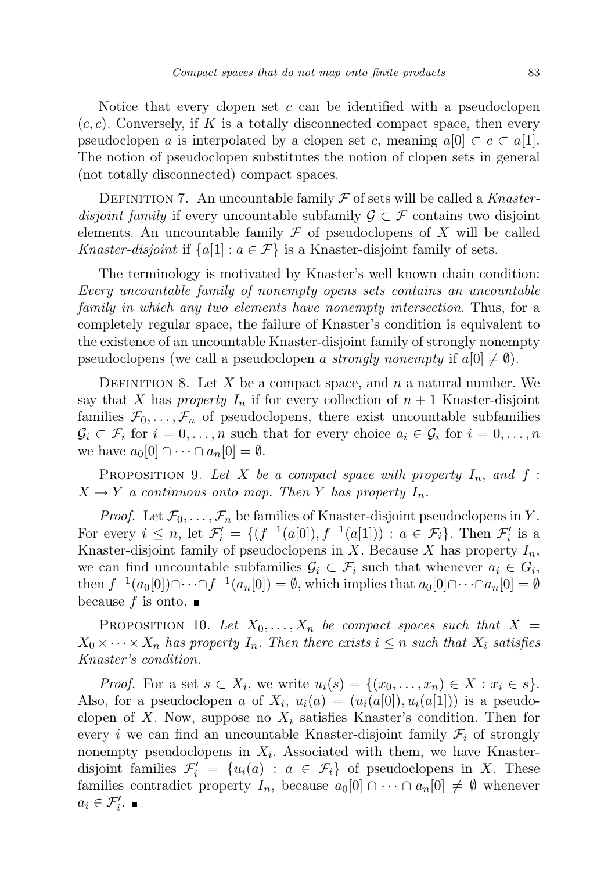Notice that every clopen set  $c$  can be identified with a pseudoclopen  $(c, c)$ . Conversely, if K is a totally disconnected compact space, then every pseudoclopen a is interpolated by a clopen set c, meaning  $a[0] \subset c \subset a[1]$ . The notion of pseudoclopen substitutes the notion of clopen sets in general (not totally disconnected) compact spaces.

DEFINITION 7. An uncountable family  $\mathcal F$  of sets will be called a Knasterdisjoint family if every uncountable subfamily  $\mathcal{G} \subset \mathcal{F}$  contains two disjoint elements. An uncountable family  $\mathcal F$  of pseudoclopens of X will be called Knaster-disjoint if  $\{a[1]: a \in \mathcal{F}\}\$ is a Knaster-disjoint family of sets.

The terminology is motivated by Knaster's well known chain condition: Every uncountable family of nonempty opens sets contains an uncountable family in which any two elements have nonempty intersection. Thus, for a completely regular space, the failure of Knaster's condition is equivalent to the existence of an uncountable Knaster-disjoint family of strongly nonempty pseudoclopens (we call a pseudoclopen a strongly nonempty if  $a[0] \neq \emptyset$ ).

DEFINITION 8. Let X be a compact space, and n a natural number. We say that X has property  $I_n$  if for every collection of  $n+1$  Knaster-disjoint families  $\mathcal{F}_0, \ldots, \mathcal{F}_n$  of pseudoclopens, there exist uncountable subfamilies  $\mathcal{G}_i \subset \mathcal{F}_i$  for  $i = 0, \ldots, n$  such that for every choice  $a_i \in \mathcal{G}_i$  for  $i = 0, \ldots, n$ we have  $a_0[0] \cap \cdots \cap a_n[0] = \emptyset$ .

PROPOSITION 9. Let X be a compact space with property  $I_n$ , and  $f$ :  $X \to Y$  a continuous onto map. Then Y has property  $I_n$ .

*Proof.* Let  $\mathcal{F}_0, \ldots, \mathcal{F}_n$  be families of Knaster-disjoint pseudoclopens in Y. For every  $i \leq n$ , let  $\mathcal{F}'_i = \{ (f^{-1}(a[0]), f^{-1}(a[1])) : a \in \mathcal{F}_i \}$ . Then  $\mathcal{F}'_i$  is a Knaster-disjoint family of pseudoclopens in  $X$ . Because  $X$  has property  $I_n$ , we can find uncountable subfamilies  $\mathcal{G}_i \subset \mathcal{F}_i$  such that whenever  $a_i \in G_i$ , then  $f^{-1}(a_0[0]) \cap \cdots \cap f^{-1}(a_n[0]) = \emptyset$ , which implies that  $a_0[0] \cap \cdots \cap a_n[0] = \emptyset$ because f is onto.  $\blacksquare$ 

PROPOSITION 10. Let  $X_0, \ldots, X_n$  be compact spaces such that  $X =$  $X_0 \times \cdots \times X_n$  has property  $I_n$ . Then there exists  $i \leq n$  such that  $X_i$  satisfies Knaster's condition.

*Proof.* For a set  $s \subset X_i$ , we write  $u_i(s) = \{(x_0, \ldots, x_n) \in X : x_i \in s\}.$ Also, for a pseudoclopen a of  $X_i$ ,  $u_i(a) = (u_i(a[0]), u_i(a[1]))$  is a pseudoclopen of X. Now, suppose no  $X_i$  satisfies Knaster's condition. Then for every i we can find an uncountable Knaster-disjoint family  $\mathcal{F}_i$  of strongly nonempty pseudoclopens in  $X_i$ . Associated with them, we have Knasterdisjoint families  $\mathcal{F}'_i = \{u_i(a) : a \in \mathcal{F}_i\}$  of pseudoclopens in X. These families contradict property  $I_n$ , because  $a_0[0] \cap \cdots \cap a_n[0] \neq \emptyset$  whenever  $a_i \in \mathcal{F}'_i$ .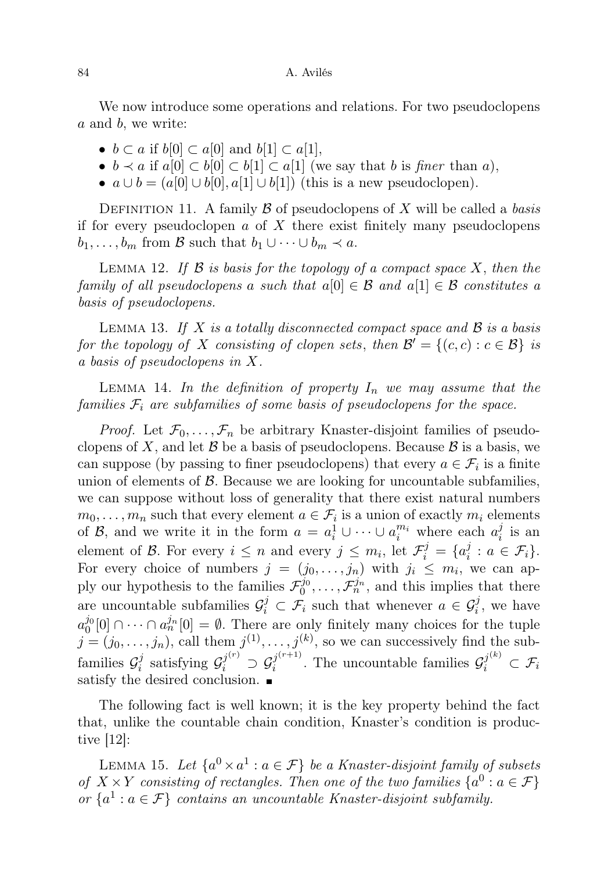We now introduce some operations and relations. For two pseudoclopens a and b, we write:

- $b \subset a$  if  $b[0] \subset a[0]$  and  $b[1] \subset a[1]$ ,
- $b \prec a$  if  $a[0] \subset b[0] \subset b[1] \subset a[1]$  (we say that b is finer than a),
- $a \cup b = (a[0] \cup b[0], a[1] \cup b[1])$  (this is a new pseudoclopen).

DEFINITION 11. A family  $\beta$  of pseudoclopens of X will be called a basis if for every pseudoclopen  $a$  of  $X$  there exist finitely many pseudoclopens  $b_1, \ldots, b_m$  from  $\mathcal B$  such that  $b_1 \cup \cdots \cup b_m \prec a$ .

LEMMA 12. If  $\beta$  is basis for the topology of a compact space X, then the family of all pseudoclopens a such that  $a[0] \in \mathcal{B}$  and  $a[1] \in \mathcal{B}$  constitutes a basis of pseudoclopens.

LEMMA 13. If X is a totally disconnected compact space and  $\mathcal B$  is a basis for the topology of X consisting of clopen sets, then  $\mathcal{B}' = \{(c, c) : c \in \mathcal{B}\}\$ is a basis of pseudoclopens in X.

LEMMA 14. In the definition of property  $I_n$  we may assume that the families  $\mathcal{F}_i$  are subfamilies of some basis of pseudoclopens for the space.

*Proof.* Let  $\mathcal{F}_0, \ldots, \mathcal{F}_n$  be arbitrary Knaster-disjoint families of pseudoclopens of X, and let  $\beta$  be a basis of pseudoclopens. Because  $\beta$  is a basis, we can suppose (by passing to finer pseudoclopens) that every  $a \in \mathcal{F}_i$  is a finite union of elements of  $\beta$ . Because we are looking for uncountable subfamilies, we can suppose without loss of generality that there exist natural numbers  $m_0, \ldots, m_n$  such that every element  $a \in \mathcal{F}_i$  is a union of exactly  $m_i$  elements of  $\mathcal{B}$ , and we write it in the form  $a = a_i^1 \cup \cdots \cup a_i^{m_i}$  where each  $a_i^j$  $\frac{\jmath}{i}$  is an element of  $\mathcal{B}$ . For every  $i \leq n$  and every  $j \leq m_i$ , let  $\mathcal{F}_i^j = \{a_i^j\}$  $i_i^j : a \in \mathcal{F}_i$ . For every choice of numbers  $j = (j_0, \ldots, j_n)$  with  $j_i \leq m_i$ , we can apply our hypothesis to the families  $\mathcal{F}_0^{j_0}, \ldots, \mathcal{F}_n^{j_n}$ , and this implies that there are uncountable subfamilies  $\mathcal{G}_i^j \subset \mathcal{F}_i$  such that whenever  $a \in \mathcal{G}_i^j$ , we have  $a_0^{j_0}[0] \cap \cdots \cap a_n^{j_n}[0] = \emptyset$ . There are only finitely many choices for the tuple  $j = (j_0, \ldots, j_n)$ , call them  $j^{(1)}, \ldots, j^{(k)}$ , so we can successively find the subfamilies  $\mathcal{G}_i^j$  $g_i^j$  satisfying  $\mathcal{G}_i^{j^{(r)}} \supset \mathcal{G}_i^{j^{(r+1)}}$  $j_i^{(r+1)}$ . The uncountable families  $\mathcal{G}_i^{j^{(k)}} \subset \mathcal{F}_i$ satisfy the desired conclusion.  $\blacksquare$ 

The following fact is well known; it is the key property behind the fact that, unlike the countable chain condition, Knaster's condition is productive [12]:

LEMMA 15. Let  $\{a^0 \times a^1 : a \in \mathcal{F}\}$  be a Knaster-disjoint family of subsets of  $X \times Y$  consisting of rectangles. Then one of the two families  $\{a^0 : a \in \mathcal{F}\}\$ or  $\{a^1 : a \in \mathcal{F}\}\$ contains an uncountable Knaster-disjoint subfamily.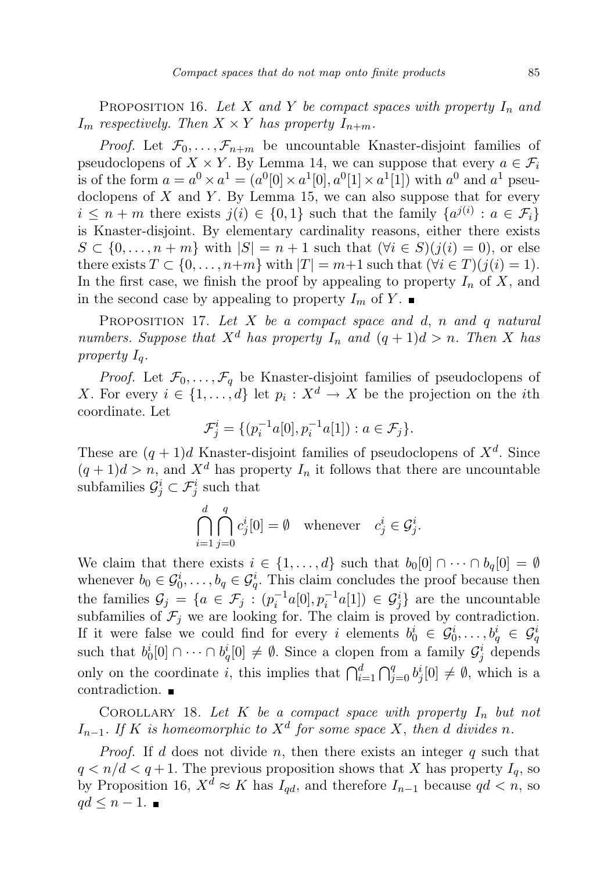PROPOSITION 16. Let X and Y be compact spaces with property  $I_n$  and  $I_m$  respectively. Then  $X \times Y$  has property  $I_{n+m}$ .

*Proof.* Let  $\mathcal{F}_0, \ldots, \mathcal{F}_{n+m}$  be uncountable Knaster-disjoint families of pseudoclopens of  $X \times Y$ . By Lemma 14, we can suppose that every  $a \in \mathcal{F}_i$ is of the form  $a = a^0 \times a^1 = (a^0[0] \times a^1[0], a^0[1] \times a^1[1])$  with  $a^0$  and  $a^1$  pseudoclopens of  $X$  and  $Y$ . By Lemma 15, we can also suppose that for every  $i \leq n+m$  there exists  $j(i) \in \{0,1\}$  such that the family  $\{a^{j(i)} : a \in \mathcal{F}_i\}$ is Knaster-disjoint. By elementary cardinality reasons, either there exists  $S \subset \{0, \ldots, n+m\}$  with  $|S| = n+1$  such that  $(\forall i \in S)(j(i) = 0)$ , or else there exists  $T \subset \{0, \ldots, n+m\}$  with  $|T| = m+1$  such that  $(\forall i \in T)(j(i) = 1)$ . In the first case, we finish the proof by appealing to property  $I_n$  of X, and in the second case by appealing to property  $I_m$  of Y.

PROPOSITION 17. Let  $X$  be a compact space and d, n and q natural numbers. Suppose that  $X^d$  has property  $I_n$  and  $(q + 1)d > n$ . Then X has property  $I_q$ .

*Proof.* Let  $\mathcal{F}_0, \ldots, \mathcal{F}_q$  be Knaster-disjoint families of pseudoclopens of X. For every  $i \in \{1, \ldots, d\}$  let  $p_i : X^d \to X$  be the projection on the *i*th coordinate. Let

$$
\mathcal{F}_j^i = \{ (p_i^{-1}a[0], p_i^{-1}a[1]) : a \in \mathcal{F}_j \}.
$$

These are  $(q + 1)d$  Knaster-disjoint families of pseudoclopens of  $X<sup>d</sup>$ . Since  $(q+1)d > n$ , and  $X^d$  has property  $I_n$  it follows that there are uncountable subfamilies  $\mathcal{G}_j^i \subset \mathcal{F}_j^i$  such that

$$
\bigcap_{i=1}^d \bigcap_{j=0}^q c_j^i[0] = \emptyset \quad \text{whenever} \quad c_j^i \in \mathcal{G}_j^i.
$$

We claim that there exists  $i \in \{1, ..., d\}$  such that  $b_0[0] \cap \cdots \cap b_q[0] = \emptyset$ whenever  $b_0 \in \mathcal{G}_0^i, \ldots, b_q \in \mathcal{G}_q^i$ . This claim concludes the proof because then the families  $\mathcal{G}_j = \{a \in \mathcal{F}_j : (p_i^{-1}a[0], p_i^{-1}a[1]) \in \mathcal{G}_j^i\}$  are the uncountable subfamilies of  $\mathcal{F}_j$  we are looking for. The claim is proved by contradiction. If it were false we could find for every i elements  $b_0^i \in G_0^i, \ldots, b_q^i \in G_q^i$ such that  $b_0^i[0] \cap \cdots \cap b_q^i[0] \neq \emptyset$ . Since a clopen from a family  $\mathcal{G}_j^i$  depends only on the coordinate *i*, this implies that  $\bigcap_{i=1}^d \bigcap_{j=0}^q b_j^i[0] \neq \emptyset$ , which is a contradiction.

COROLLARY 18. Let  $K$  be a compact space with property  $I_n$  but not  $I_{n-1}$ . If K is homeomorphic to  $X^d$  for some space X, then d divides n.

*Proof.* If d does not divide n, then there exists an integer  $q$  such that  $q < n/d < q+1$ . The previous proposition shows that X has property  $I_q$ , so by Proposition 16,  $X^d \approx K$  has  $I_{qd}$ , and therefore  $I_{n-1}$  because  $qd < n$ , so  $qd \leq n-1$ .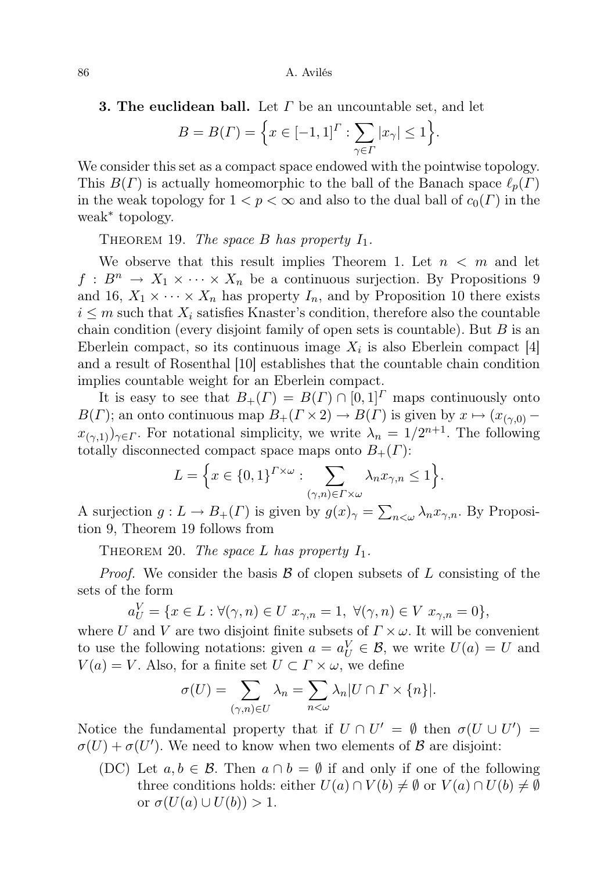**3. The euclidean ball.** Let  $\Gamma$  be an uncountable set, and let

$$
B = B(\Gamma) = \left\{ x \in [-1,1]^\Gamma : \sum_{\gamma \in \Gamma} |x_\gamma| \le 1 \right\}
$$

.

We consider this set as a compact space endowed with the pointwise topology. This  $B(\Gamma)$  is actually homeomorphic to the ball of the Banach space  $\ell_p(\Gamma)$ in the weak topology for  $1 < p < \infty$  and also to the dual ball of  $c_0(\Gamma)$  in the weak<sup>∗</sup> topology.

THEOREM 19. The space B has property  $I_1$ .

We observe that this result implies Theorem 1. Let  $n < m$  and let  $f: B^n \to X_1 \times \cdots \times X_n$  be a continuous surjection. By Propositions 9 and 16,  $X_1 \times \cdots \times X_n$  has property  $I_n$ , and by Proposition 10 there exists  $i \leq m$  such that  $X_i$  satisfies Knaster's condition, therefore also the countable chain condition (every disjoint family of open sets is countable). But  $B$  is an Eberlein compact, so its continuous image  $X_i$  is also Eberlein compact [4] and a result of Rosenthal [10] establishes that the countable chain condition implies countable weight for an Eberlein compact.

It is easy to see that  $B_+(I) = B(I) \cap [0,1]^T$  maps continuously onto  $B(\Gamma)$ ; an onto continuous map  $B_+(\Gamma \times 2) \to B(\Gamma)$  is given by  $x \mapsto (x_{(\gamma,0)} (x_{(\gamma,1)})_{\gamma \in \Gamma}$ . For notational simplicity, we write  $\lambda_n = 1/2^{n+1}$ . The following totally disconnected compact space maps onto  $B_+(T)$ :

$$
L = \Big\{ x \in \{0,1\}^{\Gamma \times \omega} : \sum_{(\gamma,n) \in \Gamma \times \omega} \lambda_n x_{\gamma,n} \le 1 \Big\}.
$$

A surjection  $g: L \to B_+(I)$  is given by  $g(x)_{\gamma} = \sum_{n < \omega} \lambda_n x_{\gamma,n}$ . By Proposition 9, Theorem 19 follows from

THEOREM 20. The space L has property  $I_1$ .

*Proof.* We consider the basis  $\beta$  of clopen subsets of L consisting of the sets of the form

$$
a_U^V = \{ x \in L : \forall (\gamma, n) \in U \ x_{\gamma, n} = 1, \ \forall (\gamma, n) \in V \ x_{\gamma, n} = 0 \},
$$

where U and V are two disjoint finite subsets of  $\Gamma \times \omega$ . It will be convenient to use the following notations: given  $a = a_U^V \in \mathcal{B}$ , we write  $U(a) = U$  and  $V(a) = V$ . Also, for a finite set  $U \subset \Gamma \times \omega$ , we define

$$
\sigma(U) = \sum_{(\gamma,n)\in U} \lambda_n = \sum_{n<\omega} \lambda_n |U \cap \Gamma \times \{n\}|.
$$

Notice the fundamental property that if  $U \cap U' = \emptyset$  then  $\sigma(U \cup U') =$  $\sigma(U) + \sigma(U')$ . We need to know when two elements of  $\mathcal{B}$  are disjoint:

(DC) Let  $a, b \in \mathcal{B}$ . Then  $a \cap b = \emptyset$  if and only if one of the following three conditions holds: either  $U(a) \cap V(b) \neq \emptyset$  or  $V(a) \cap U(b) \neq \emptyset$ or  $\sigma(U(a) \cup U(b)) > 1$ .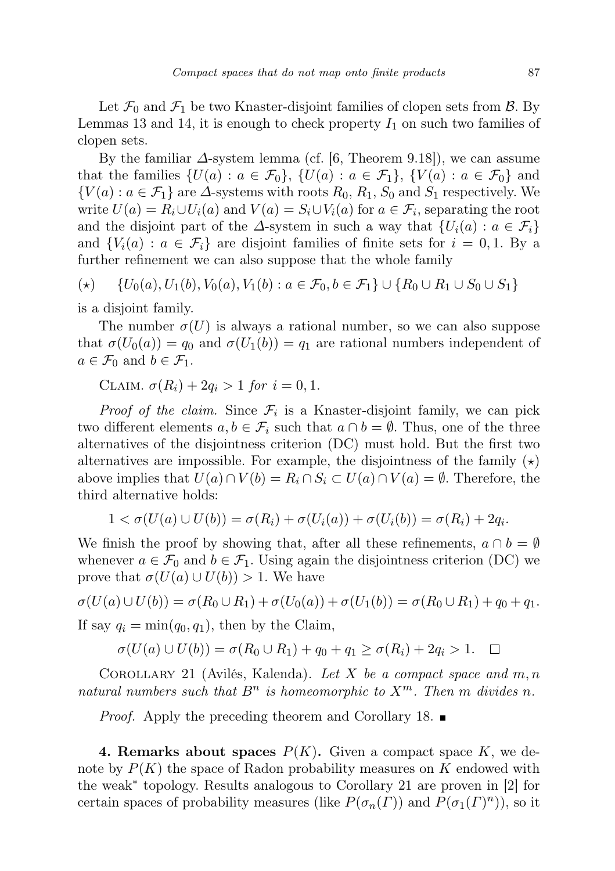Let  $\mathcal{F}_0$  and  $\mathcal{F}_1$  be two Knaster-disjoint families of clopen sets from  $\mathcal{B}$ . By Lemmas 13 and 14, it is enough to check property  $I_1$  on such two families of clopen sets.

By the familiar  $\Delta$ -system lemma (cf. [6, Theorem 9.18]), we can assume that the families  $\{U(a): a \in \mathcal{F}_0\}, \{U(a): a \in \mathcal{F}_1\}, \{V(a): a \in \mathcal{F}_0\}$  and  ${V(a): a \in \mathcal{F}_1}$  are  $\Delta$ -systems with roots  $R_0, R_1, S_0$  and  $S_1$  respectively. We write  $U(a) = R_i \cup U_i(a)$  and  $V(a) = S_i \cup V_i(a)$  for  $a \in \mathcal{F}_i$ , separating the root and the disjoint part of the  $\Delta$ -system in such a way that  $\{U_i(a): a \in \mathcal{F}_i\}$ and  $\{V_i(a): a \in \mathcal{F}_i\}$  are disjoint families of finite sets for  $i = 0, 1$ . By a further refinement we can also suppose that the whole family

$$
(\star) \qquad \{U_0(a), U_1(b), V_0(a), V_1(b): a \in \mathcal{F}_0, b \in \mathcal{F}_1\} \cup \{R_0 \cup R_1 \cup S_0 \cup S_1\}
$$

is a disjoint family.

The number  $\sigma(U)$  is always a rational number, so we can also suppose that  $\sigma(U_0(a)) = q_0$  and  $\sigma(U_1(b)) = q_1$  are rational numbers independent of  $a \in \mathcal{F}_0$  and  $b \in \mathcal{F}_1$ .

CLAIM.  $\sigma(R_i) + 2q_i > 1$  for  $i = 0, 1$ .

*Proof of the claim.* Since  $\mathcal{F}_i$  is a Knaster-disjoint family, we can pick two different elements  $a, b \in \mathcal{F}_i$  such that  $a \cap b = \emptyset$ . Thus, one of the three alternatives of the disjointness criterion (DC) must hold. But the first two alternatives are impossible. For example, the disjointness of the family  $(\star)$ above implies that  $U(a) \cap V(b) = R_i \cap S_i \subset U(a) \cap V(a) = \emptyset$ . Therefore, the third alternative holds:

$$
1 < \sigma(U(a) \cup U(b)) = \sigma(R_i) + \sigma(U_i(a)) + \sigma(U_i(b)) = \sigma(R_i) + 2q_i.
$$

We finish the proof by showing that, after all these refinements,  $a \cap b = \emptyset$ whenever  $a \in \mathcal{F}_0$  and  $b \in \mathcal{F}_1$ . Using again the disjointness criterion (DC) we prove that  $\sigma(U(a) \cup U(b)) > 1$ . We have

$$
\sigma(U(a) \cup U(b)) = \sigma(R_0 \cup R_1) + \sigma(U_0(a)) + \sigma(U_1(b)) = \sigma(R_0 \cup R_1) + q_0 + q_1.
$$

If say  $q_i = \min(q_0, q_1)$ , then by the Claim,

$$
\sigma(U(a) \cup U(b)) = \sigma(R_0 \cup R_1) + q_0 + q_1 \ge \sigma(R_i) + 2q_i > 1. \quad \Box
$$

COROLLARY 21 (Avilés, Kalenda). Let X be a compact space and  $m, n$ natural numbers such that  $B^n$  is homeomorphic to  $X^m$ . Then m divides n.

*Proof.* Apply the preceding theorem and Corollary 18.

4. Remarks about spaces  $P(K)$ . Given a compact space K, we denote by  $P(K)$  the space of Radon probability measures on K endowed with the weak<sup>∗</sup> topology. Results analogous to Corollary 21 are proven in [2] for certain spaces of probability measures (like  $P(\sigma_n(\Gamma))$  and  $P(\sigma_1(\Gamma)^n)$ ), so it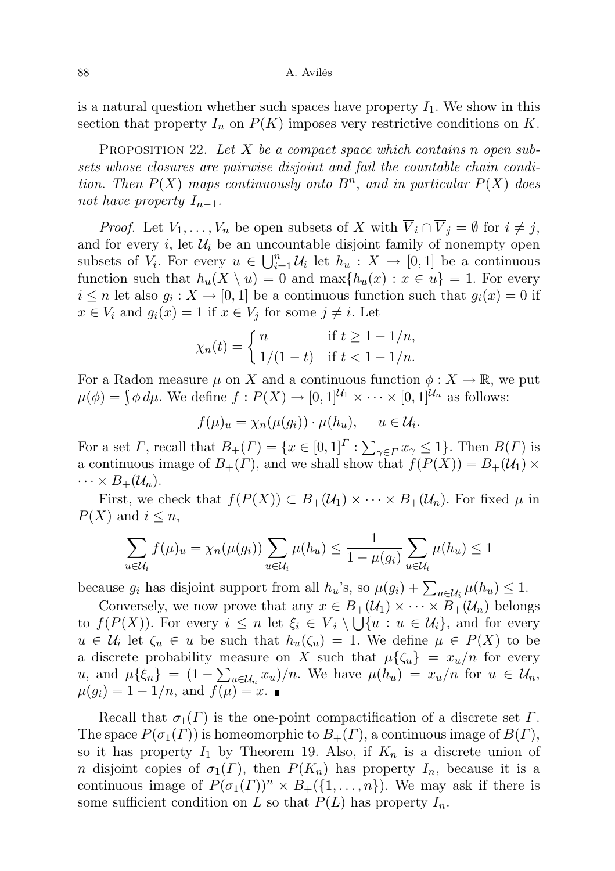88 A. Avilés

is a natural question whether such spaces have property  $I_1$ . We show in this section that property  $I_n$  on  $P(K)$  imposes very restrictive conditions on K.

PROPOSITION 22. Let X be a compact space which contains n open subsets whose closures are pairwise disjoint and fail the countable chain condition. Then  $P(X)$  maps continuously onto  $B<sup>n</sup>$ , and in particular  $P(X)$  does not have property  $I_{n-1}$ .

*Proof.* Let  $V_1, \ldots, V_n$  be open subsets of X with  $\overline{V}_i \cap \overline{V}_j = \emptyset$  for  $i \neq j$ , and for every  $i$ , let  $\mathcal{U}_i$  be an uncountable disjoint family of nonempty open subsets of  $V_i$ . For every  $u \in \bigcup_{i=1}^n \mathcal{U}_i$  let  $h_u : X \to [0,1]$  be a continuous function such that  $h_u(X \setminus u) = 0$  and  $\max\{h_u(x) : x \in u\} = 1$ . For every  $i \leq n$  let also  $g_i: X \to [0,1]$  be a continuous function such that  $g_i(x) = 0$  if  $x \in V_i$  and  $g_i(x) = 1$  if  $x \in V_j$  for some  $j \neq i$ . Let

$$
\chi_n(t) = \begin{cases} n & \text{if } t \ge 1 - 1/n, \\ 1/(1-t) & \text{if } t < 1 - 1/n. \end{cases}
$$

For a Radon measure  $\mu$  on X and a continuous function  $\phi: X \to \mathbb{R}$ , we put  $\mu(\phi) = \int \phi \, d\mu$ . We define  $f: P(X) \to [0, 1]^{U_1} \times \cdots \times [0, 1]^{U_n}$  as follows:

$$
f(\mu)_u = \chi_n(\mu(g_i)) \cdot \mu(h_u), \quad u \in \mathcal{U}_i.
$$

For a set  $\Gamma$ , recall that  $B_+(\Gamma) = \{x \in [0,1]^{\Gamma} : \sum_{\gamma \in \Gamma} x_{\gamma} \leq 1\}$ . Then  $B(\Gamma)$  is a continuous image of  $B_+(I)$ , and we shall show that  $f(P(X)) = B_+(\mathcal{U}_1) \times$  $\cdots \times B_+(\mathcal{U}_n).$ 

First, we check that  $f(P(X)) \subset B_+(\mathcal{U}_1) \times \cdots \times B_+(\mathcal{U}_n)$ . For fixed  $\mu$  in  $P(X)$  and  $i \leq n$ ,

$$
\sum_{u \in \mathcal{U}_i} f(\mu)_u = \chi_n(\mu(g_i)) \sum_{u \in \mathcal{U}_i} \mu(h_u) \le \frac{1}{1 - \mu(g_i)} \sum_{u \in \mathcal{U}_i} \mu(h_u) \le 1
$$

because  $g_i$  has disjoint support from all  $h_u$ 's, so  $\mu(g_i) + \sum_{u \in \mathcal{U}_i} \mu(h_u) \leq 1$ .

Conversely, we now prove that any  $x \in B_+(\mathcal{U}_1) \times \cdots \times B_+(\mathcal{U}_n)$  belongs to  $f(P(X))$ . For every  $i \leq n$  let  $\xi_i \in \overline{V}_i \setminus \bigcup \{u : u \in \mathcal{U}_i\}$ , and for every  $u \in \mathcal{U}_i$  let  $\zeta_u \in u$  be such that  $h_u(\zeta_u) = 1$ . We define  $\mu \in P(X)$  to be a discrete probability measure on X such that  $\mu\{\zeta_u\} = x_u/n$  for every u, and  $\mu\{\xi_n\} = (1 - \sum_{u \in \mathcal{U}_n} x_u)/n$ . We have  $\mu(h_u) = x_u/n$  for  $u \in \mathcal{U}_n$ ,  $\mu(g_i) = 1 - 1/n$ , and  $f(\mu) = x$ .

Recall that  $\sigma_1(\Gamma)$  is the one-point compactification of a discrete set  $\Gamma$ . The space  $P(\sigma_1(\Gamma))$  is homeomorphic to  $B_+(\Gamma)$ , a continuous image of  $B(\Gamma)$ , so it has property  $I_1$  by Theorem 19. Also, if  $K_n$  is a discrete union of n disjoint copies of  $\sigma_1(\Gamma)$ , then  $P(K_n)$  has property  $I_n$ , because it is a continuous image of  $P(\sigma_1(\Gamma))^n \times B_+(\{1,\ldots,n\})$ . We may ask if there is some sufficient condition on L so that  $P(L)$  has property  $I_n$ .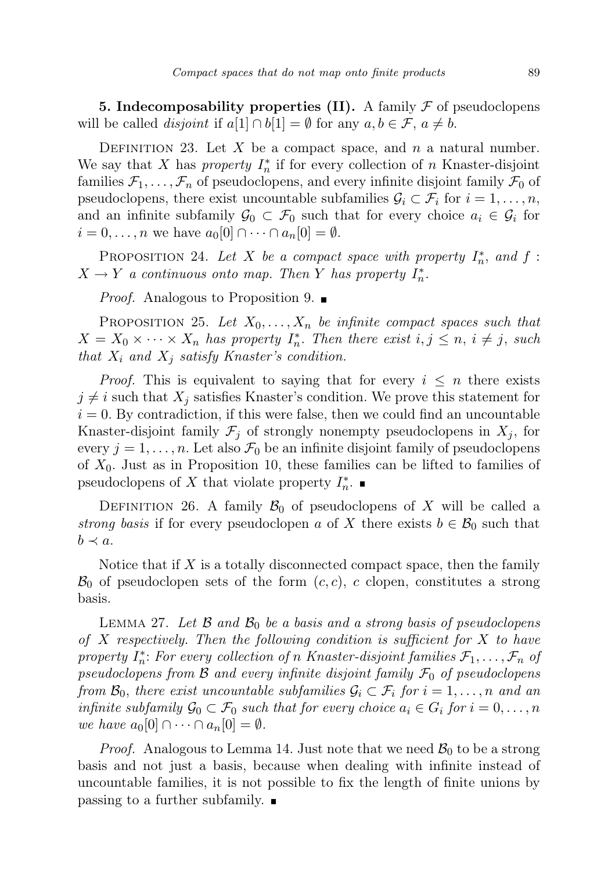**5. Indecomposability properties (II).** A family  $\mathcal F$  of pseudoclopens will be called *disjoint* if  $a[1] \cap b[1] = \emptyset$  for any  $a, b \in \mathcal{F}, a \neq b$ .

DEFINITION 23. Let X be a compact space, and n a natural number. We say that X has *property*  $I_n^*$  if for every collection of n Knaster-disjoint families  $\mathcal{F}_1, \ldots, \mathcal{F}_n$  of pseudoclopens, and every infinite disjoint family  $\mathcal{F}_0$  of pseudoclopens, there exist uncountable subfamilies  $\mathcal{G}_i \subset \mathcal{F}_i$  for  $i = 1, \ldots, n$ , and an infinite subfamily  $\mathcal{G}_0 \subset \mathcal{F}_0$  such that for every choice  $a_i \in \mathcal{G}_i$  for  $i = 0, \ldots, n$  we have  $a_0[0] \cap \cdots \cap a_n[0] = \emptyset$ .

PROPOSITION 24. Let X be a compact space with property  $I_n^*$ , and f:  $X \to Y$  a continuous onto map. Then Y has property  $I_n^*$ .

*Proof.* Analogous to Proposition 9.  $\blacksquare$ 

PROPOSITION 25. Let  $X_0, \ldots, X_n$  be infinite compact spaces such that  $X = X_0 \times \cdots \times X_n$  has property  $I_n^*$ . Then there exist  $i, j \leq n, i \neq j$ , such that  $X_i$  and  $X_j$  satisfy Knaster's condition.

*Proof.* This is equivalent to saying that for every  $i \leq n$  there exists  $j \neq i$  such that  $X_j$  satisfies Knaster's condition. We prove this statement for  $i = 0$ . By contradiction, if this were false, then we could find an uncountable Knaster-disjoint family  $\mathcal{F}_i$  of strongly nonempty pseudoclopens in  $X_i$ , for every  $j = 1, \ldots, n$ . Let also  $\mathcal{F}_0$  be an infinite disjoint family of pseudoclopens of  $X_0$ . Just as in Proposition 10, these families can be lifted to families of pseudoclopens of X that violate property  $I_n^*$ .

DEFINITION 26. A family  $\mathcal{B}_0$  of pseudoclopens of X will be called a strong basis if for every pseudoclopen a of X there exists  $b \in \mathcal{B}_0$  such that  $b \prec a$ .

Notice that if  $X$  is a totally disconnected compact space, then the family  $\mathcal{B}_0$  of pseudoclopen sets of the form  $(c, c)$ , c clopen, constitutes a strong basis.

LEMMA 27. Let B and  $\mathcal{B}_0$  be a basis and a strong basis of pseudoclopens of X respectively. Then the following condition is sufficient for  $X$  to have property  $I_n^*$ : For every collection of n Knaster-disjoint families  $\mathcal{F}_1, \ldots, \mathcal{F}_n$  of pseudoclopens from B and every infinite disjoint family  $\mathcal{F}_0$  of pseudoclopens from  $\mathcal{B}_0$ , there exist uncountable subfamilies  $\mathcal{G}_i \subset \mathcal{F}_i$  for  $i = 1, \ldots, n$  and an infinite subfamily  $\mathcal{G}_0 \subset \mathcal{F}_0$  such that for every choice  $a_i \in G_i$  for  $i = 0, \ldots, n$ we have  $a_0[0] \cap \cdots \cap a_n[0] = \emptyset$ .

*Proof.* Analogous to Lemma 14. Just note that we need  $\mathcal{B}_0$  to be a strong basis and not just a basis, because when dealing with infinite instead of uncountable families, it is not possible to fix the length of finite unions by passing to a further subfamily.  $\blacksquare$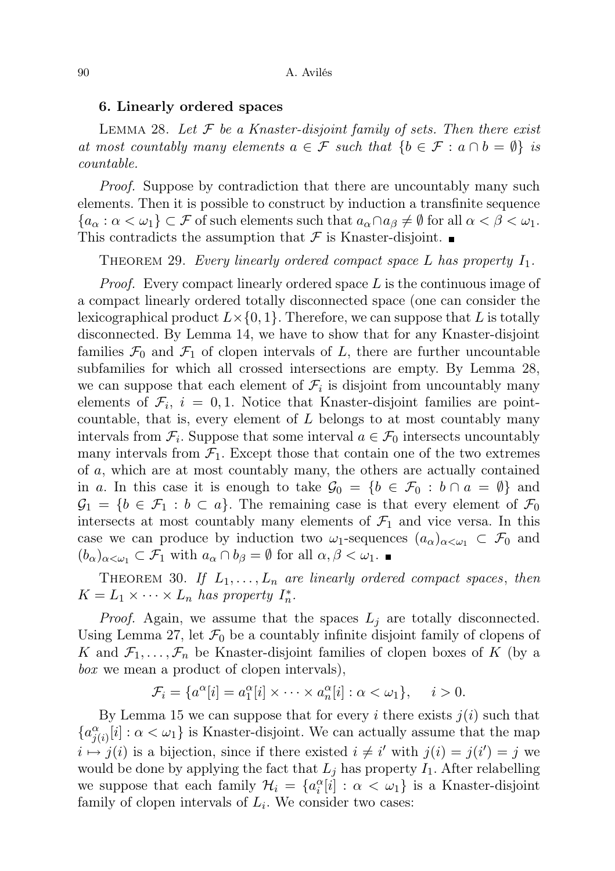## 6. Linearly ordered spaces

LEMMA 28. Let  $\mathcal F$  be a Knaster-disjoint family of sets. Then there exist at most countably many elements  $a \in \mathcal{F}$  such that  $\{b \in \mathcal{F} : a \cap b = \emptyset\}$  is countable.

Proof. Suppose by contradiction that there are uncountably many such elements. Then it is possible to construct by induction a transfinite sequence  ${a_{\alpha}: \alpha < \omega_1} \subset \mathcal{F}$  of such elements such that  $a_{\alpha} \cap a_{\beta} \neq \emptyset$  for all  $\alpha < \beta < \omega_1$ . This contradicts the assumption that  $\mathcal F$  is Knaster-disjoint.

THEOREM 29. Every linearly ordered compact space  $L$  has property  $I_1$ .

Proof. Every compact linearly ordered space L is the continuous image of a compact linearly ordered totally disconnected space (one can consider the lexicographical product  $L \times \{0, 1\}$ . Therefore, we can suppose that L is totally disconnected. By Lemma 14, we have to show that for any Knaster-disjoint families  $\mathcal{F}_0$  and  $\mathcal{F}_1$  of clopen intervals of L, there are further uncountable subfamilies for which all crossed intersections are empty. By Lemma 28, we can suppose that each element of  $\mathcal{F}_i$  is disjoint from uncountably many elements of  $\mathcal{F}_i$ ,  $i = 0, 1$ . Notice that Knaster-disjoint families are pointcountable, that is, every element of  $L$  belongs to at most countably many intervals from  $\mathcal{F}_i$ . Suppose that some interval  $a \in \mathcal{F}_0$  intersects uncountably many intervals from  $\mathcal{F}_1$ . Except those that contain one of the two extremes of a, which are at most countably many, the others are actually contained in a. In this case it is enough to take  $\mathcal{G}_0 = \{b \in \mathcal{F}_0 : b \cap a = \emptyset\}$  and  $\mathcal{G}_1 = \{b \in \mathcal{F}_1 : b \subset a\}.$  The remaining case is that every element of  $\mathcal{F}_0$ intersects at most countably many elements of  $\mathcal{F}_1$  and vice versa. In this case we can produce by induction two  $\omega_1$ -sequences  $(a_{\alpha})_{\alpha<\omega_1}\subset\mathcal{F}_0$  and  $(b_{\alpha})_{\alpha<\omega_1}\subset\mathcal{F}_1$  with  $a_{\alpha}\cap b_{\beta}=\emptyset$  for all  $\alpha,\beta<\omega_1$ .

THEOREM 30. If  $L_1, \ldots, L_n$  are linearly ordered compact spaces, then  $K = L_1 \times \cdots \times L_n$  has property  $I_n^*$ .

*Proof.* Again, we assume that the spaces  $L_i$  are totally disconnected. Using Lemma 27, let  $\mathcal{F}_0$  be a countably infinite disjoint family of clopens of K and  $\mathcal{F}_1, \ldots, \mathcal{F}_n$  be Knaster-disjoint families of clopen boxes of K (by a box we mean a product of clopen intervals),

$$
\mathcal{F}_i = \{a^{\alpha}[i] = a_1^{\alpha}[i] \times \cdots \times a_n^{\alpha}[i] : \alpha < \omega_1\}, \quad i > 0.
$$

By Lemma 15 we can suppose that for every i there exists  $j(i)$  such that  ${a_{j(i)}^{\alpha}[i]: \alpha < \omega_1}$  is Knaster-disjoint. We can actually assume that the map  $i \mapsto j(i)$  is a bijection, since if there existed  $i \neq i'$  with  $j(i) = j(i') = j$  we would be done by applying the fact that  $L_j$  has property  $I_1$ . After relabelling we suppose that each family  $\mathcal{H}_i = \{a_i^{\alpha}[i] : \alpha < \omega_1\}$  is a Knaster-disjoint family of clopen intervals of  $L_i$ . We consider two cases: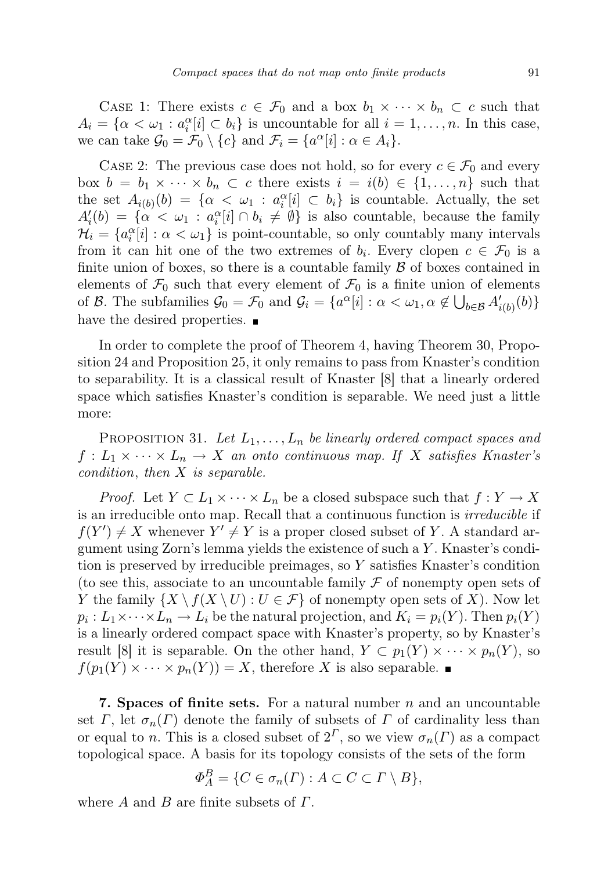CASE 1: There exists  $c \in \mathcal{F}_0$  and a box  $b_1 \times \cdots \times b_n \subset c$  such that  $A_i = \{ \alpha < \omega_1 : a_i^{\alpha}[i] \subset b_i \}$  is uncountable for all  $i = 1, \ldots, n$ . In this case, we can take  $\mathcal{G}_0 = \mathcal{F}_0 \setminus \{c\}$  and  $\mathcal{F}_i = \{a^{\alpha}[i] : \alpha \in A_i\}.$ 

CASE 2: The previous case does not hold, so for every  $c \in \mathcal{F}_0$  and every box  $b = b_1 \times \cdots \times b_n \subset c$  there exists  $i = i(b) \in \{1, \ldots, n\}$  such that the set  $A_{i(b)}(b) = \{ \alpha < \omega_1 : a_i^{\alpha}[i] \subset b_i \}$  is countable. Actually, the set  $A_i'(b) = {\alpha \lt \omega_1 : a_i^{\alpha}[i] \cap b_i \neq \emptyset}$  is also countable, because the family  $\mathcal{H}_i = \{a_i^{\alpha}[i] : \alpha < \omega_1\}$  is point-countable, so only countably many intervals from it can hit one of the two extremes of  $b_i$ . Every clopen  $c \in \mathcal{F}_0$  is a finite union of boxes, so there is a countable family  $\beta$  of boxes contained in elements of  $\mathcal{F}_0$  such that every element of  $\mathcal{F}_0$  is a finite union of elements of B. The subfamilies  $\mathcal{G}_0 = \mathcal{F}_0$  and  $\mathcal{G}_i = \{a^{\alpha}[i] : \alpha < \omega_1, \alpha \notin \bigcup_{b \in \mathcal{B}} A'_{i(b)}(b)\}\$ have the desired properties.  $\blacksquare$ 

In order to complete the proof of Theorem 4, having Theorem 30, Proposition 24 and Proposition 25, it only remains to pass from Knaster's condition to separability. It is a classical result of Knaster [8] that a linearly ordered space which satisfies Knaster's condition is separable. We need just a little more:

PROPOSITION 31. Let  $L_1, \ldots, L_n$  be linearly ordered compact spaces and  $f: L_1 \times \cdots \times L_n \to X$  an onto continuous map. If X satisfies Knaster's condition, then X is separable.

*Proof.* Let  $Y \subset L_1 \times \cdots \times L_n$  be a closed subspace such that  $f: Y \to X$ is an irreducible onto map. Recall that a continuous function is irreducible if  $f(Y') \neq X$  whenever  $Y' \neq Y$  is a proper closed subset of Y. A standard argument using Zorn's lemma yields the existence of such a Y . Knaster's condition is preserved by irreducible preimages, so Y satisfies Knaster's condition (to see this, associate to an uncountable family  $\mathcal F$  of nonempty open sets of Y the family  $\{X \setminus f(X \setminus U) : U \in \mathcal{F}\}\$  of nonempty open sets of X). Now let  $p_i: L_1 \times \cdots \times L_n \to L_i$  be the natural projection, and  $K_i = p_i(Y)$ . Then  $p_i(Y)$ is a linearly ordered compact space with Knaster's property, so by Knaster's result [8] it is separable. On the other hand,  $Y \subset p_1(Y) \times \cdots \times p_n(Y)$ , so  $f(p_1(Y) \times \cdots \times p_n(Y)) = X$ , therefore X is also separable.

**7. Spaces of finite sets.** For a natural number  $n$  and an uncountable set Γ, let  $\sigma_n(\Gamma)$  denote the family of subsets of Γ of cardinality less than or equal to n. This is a closed subset of  $2^{\Gamma}$ , so we view  $\sigma_n(\Gamma)$  as a compact topological space. A basis for its topology consists of the sets of the form

$$
\Phi_A^B = \{ C \in \sigma_n(\Gamma) : A \subset C \subset \Gamma \setminus B \},\
$$

where A and B are finite subsets of  $\Gamma$ .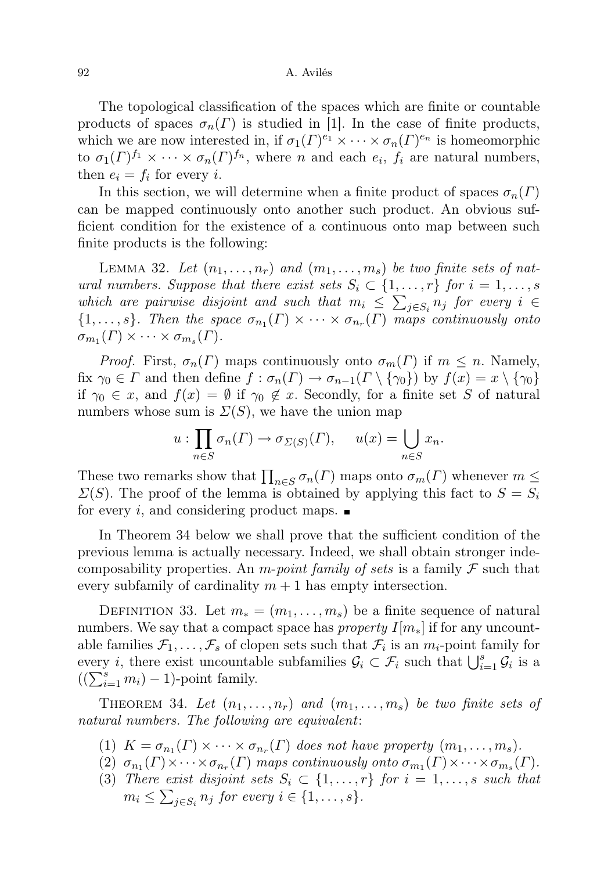### 92 A. Avilés

The topological classification of the spaces which are finite or countable products of spaces  $\sigma_n(\Gamma)$  is studied in [1]. In the case of finite products, which we are now interested in, if  $\sigma_1(\Gamma)^{e_1} \times \cdots \times \sigma_n(\Gamma)^{e_n}$  is homeomorphic to  $\sigma_1(\Gamma)^{f_1} \times \cdots \times \sigma_n(\Gamma)^{f_n}$ , where *n* and each  $e_i$ ,  $f_i$  are natural numbers, then  $e_i = f_i$  for every i.

In this section, we will determine when a finite product of spaces  $\sigma_n(\Gamma)$ can be mapped continuously onto another such product. An obvious sufficient condition for the existence of a continuous onto map between such finite products is the following:

LEMMA 32. Let  $(n_1, \ldots, n_r)$  and  $(m_1, \ldots, m_s)$  be two finite sets of natural numbers. Suppose that there exist sets  $S_i \subset \{1, \ldots, r\}$  for  $i = 1, \ldots, s$ which are pairwise disjoint and such that  $m_i \leq \sum_{j \in S_i} n_j$  for every  $i \in$  $\{1,\ldots,s\}$ . Then the space  $\sigma_{n_1}(\Gamma) \times \cdots \times \sigma_{n_r}(\Gamma)$  maps continuously onto  $\sigma_{m_1}(\Gamma) \times \cdots \times \sigma_{m_s}(\Gamma).$ 

*Proof.* First,  $\sigma_n(\Gamma)$  maps continuously onto  $\sigma_m(\Gamma)$  if  $m \leq n$ . Namely, fix  $\gamma_0 \in \Gamma$  and then define  $f : \sigma_n(\Gamma) \to \sigma_{n-1}(\Gamma \setminus {\gamma_0})$  by  $f(x) = x \setminus {\gamma_0}$ if  $\gamma_0 \in x$ , and  $f(x) = \emptyset$  if  $\gamma_0 \notin x$ . Secondly, for a finite set S of natural numbers whose sum is  $\Sigma(S)$ , we have the union map

$$
u: \prod_{n \in S} \sigma_n(\Gamma) \to \sigma_{\Sigma(S)}(\Gamma), \quad u(x) = \bigcup_{n \in S} x_n.
$$

These two remarks show that  $\prod_{n\in S} \sigma_n(\Gamma)$  maps onto  $\sigma_m(\Gamma)$  whenever  $m \leq$  $\Sigma(S)$ . The proof of the lemma is obtained by applying this fact to  $S = S_i$ for every i, and considering product maps.  $\blacksquare$ 

In Theorem 34 below we shall prove that the sufficient condition of the previous lemma is actually necessary. Indeed, we shall obtain stronger indecomposability properties. An *m-point family of sets* is a family  $\mathcal F$  such that every subfamily of cardinality  $m + 1$  has empty intersection.

DEFINITION 33. Let  $m_ * = (m_1, \ldots, m_s)$  be a finite sequence of natural numbers. We say that a compact space has *property*  $I[m_*]$  if for any uncountable families  $\mathcal{F}_1, \ldots, \mathcal{F}_s$  of clopen sets such that  $\mathcal{F}_i$  is an  $m_i$ -point family for every *i*, there exist uncountable subfamilies  $\mathcal{G}_i \subset \mathcal{F}_i$  such that  $\bigcup_{i=1}^s \mathcal{G}_i$  is a  $((\sum_{i=1}^s m_i) - 1)$ -point family.

THEOREM 34. Let  $(n_1, \ldots, n_r)$  and  $(m_1, \ldots, m_s)$  be two finite sets of natural numbers. The following are equivalent:

- (1)  $K = \sigma_{n_1}(\Gamma) \times \cdots \times \sigma_{n_r}(\Gamma)$  does not have property  $(m_1, \ldots, m_s)$ .
- (2)  $\sigma_{n_1}(\Gamma) \times \cdots \times \sigma_{n_r}(\Gamma)$  maps continuously onto  $\sigma_{m_1}(\Gamma) \times \cdots \times \sigma_{m_s}(\Gamma)$ .
- (3) There exist disjoint sets  $S_i \subset \{1, \ldots, r\}$  for  $i = 1, \ldots, s$  such that  $m_i \leq \sum_{j \in S_i} n_j$  for every  $i \in \{1, \ldots, s\}.$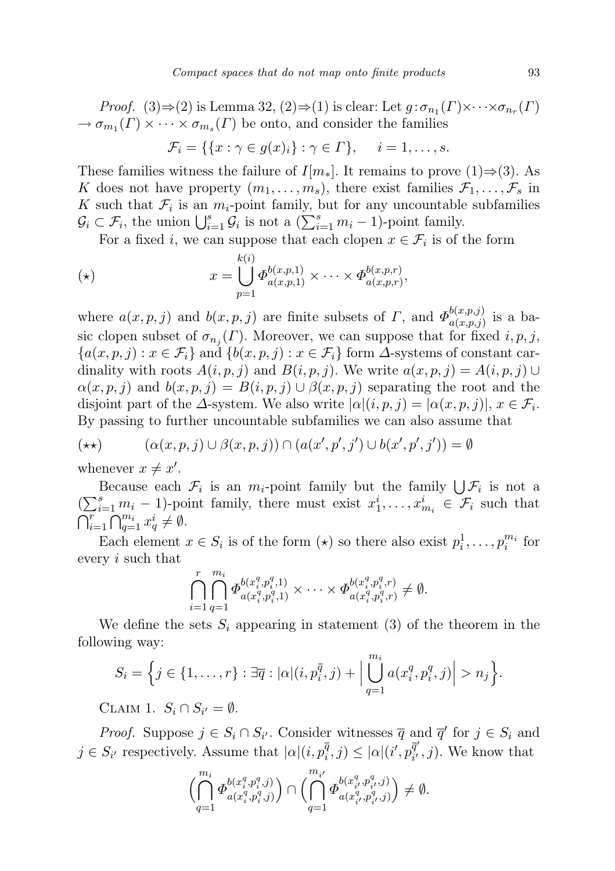*Proof.* (3) $\Rightarrow$  (2) is Lemma 32, (2) $\Rightarrow$  (1) is clear: Let  $g : \sigma_{n_1}(\Gamma) \times \cdots \times \sigma_{n_r}(\Gamma)$  $\rightarrow \sigma_{m_1}(\Gamma) \times \cdots \times \sigma_{m_s}(\Gamma)$  be onto, and consider the families

$$
\mathcal{F}_i = \{ \{x : \gamma \in g(x)_i\} : \gamma \in \Gamma \}, \quad i = 1, \dots, s.
$$

These families witness the failure of  $I[m_*]$ . It remains to prove (1)⇒(3). As K does not have property  $(m_1, \ldots, m_s)$ , there exist families  $\mathcal{F}_1, \ldots, \mathcal{F}_s$  in K such that  $\mathcal{F}_i$  is an  $m_i$ -point family, but for any uncountable subfamilies  $\mathcal{G}_i \subset \mathcal{F}_i$ , the union  $\bigcup_{i=1}^s \mathcal{G}_i$  is not a  $(\sum_{i=1}^s m_i - 1)$ -point family.

For a fixed *i*, we can suppose that each clopen  $x \in \mathcal{F}_i$  is of the form

$$
x = \bigcup_{p=1}^{k(i)} \Phi_{a(x,p,1)}^{b(x,p,1)} \times \cdots \times \Phi_{a(x,p,r)}^{b(x,p,r)},
$$

where  $a(x, p, j)$  and  $b(x, p, j)$  are finite subsets of  $\Gamma$ , and  $\Phi_{a(x, p, j)}^{b(x, p, j)}$  $a(x,p,j)$  is a basic clopen subset of  $\sigma_{n_j}(\Gamma)$ . Moreover, we can suppose that for fixed  $i, p, j$ ,  ${a(x, p, j): x \in \mathcal{F}_i}$  and  ${b(x, p, j): x \in \mathcal{F}_i}$  form  $\Delta$ -systems of constant cardinality with roots  $A(i, p, j)$  and  $B(i, p, j)$ . We write  $a(x, p, j) = A(i, p, j) \cup$  $\alpha(x, p, j)$  and  $b(x, p, j) = B(i, p, j) \cup \beta(x, p, j)$  separating the root and the disjoint part of the  $\Delta$ -system. We also write  $|\alpha|(i, p, j) = |\alpha(x, p, j)|, x \in \mathcal{F}_i$ . By passing to further uncountable subfamilies we can also assume that

$$
(\star \star) \qquad (\alpha(x, p, j) \cup \beta(x, p, j)) \cap (a(x', p', j') \cup b(x', p', j')) = \emptyset
$$

whenever  $x \neq x'$ .

Because each  $\mathcal{F}_i$  is an  $m_i$ -point family but the family  $\bigcup \mathcal{F}_i$  is not a  $(\sum_{i=1}^s m_i - 1)$ -point family, there must exist  $x_1^i, \ldots, x_{m_i}^i \in \mathcal{F}_i$  such that  $\bigcap_{i=1}^r \bigcap_{q=1}^{m_i} x_q^i \neq \emptyset.$ 

Each element  $x \in S_i$  is of the form  $(\star)$  so there also exist  $p_i^1, \ldots, p_i^{m_i}$  for every i such that

$$
\bigcap_{i=1}^r \bigcap_{q=1}^{m_i} \Phi_{a(x_i^q, p_i^q, 1)}^{b(x_i^q, p_i^q, 1)} \times \cdots \times \Phi_{a(x_i^q, p_i^q, r)}^{b(x_i^q, p_i^q, r)} \neq \emptyset.
$$

We define the sets  $S_i$  appearing in statement (3) of the theorem in the following way:

$$
S_i = \left\{ j \in \{1, \ldots, r\} : \exists \overline{q} : |\alpha|(i, p_i^{\overline{q}}, j) + \Big| \bigcup_{q=1}^{m_i} a(x_i^q, p_i^q, j) \Big| > n_j \right\}.
$$

CLAIM 1.  $S_i \cap S_{i'} = \emptyset$ .

*Proof.* Suppose  $j \in S_i \cap S_{i'}$ . Consider witnesses  $\overline{q}$  and  $\overline{q}'$  for  $j \in S_i$  and  $j \in S_{i'}$  respectively. Assume that  $|\alpha|(i, p_i^{\bar{q}}, j) \leq |\alpha|(i', p_{i'}^{\bar{q}'})$  $\mathbf{g}_{i'}^{q}(i,j)$ . We know that

$$
\Bigl(\bigcap_{q=1}^{m_i} \varPhi^{b(x^q_i,p^q_i,j)}_{a(x^q_i,p^q_i,j)}\Bigr) \cap \Bigl(\bigcap_{q=1}^{m_{i'}} \varPhi^{b(x^q_{i'},p^q_{i'},j)}_{a(x^q_{i'},p^q_{i'},j)}\Bigr) \neq \emptyset.
$$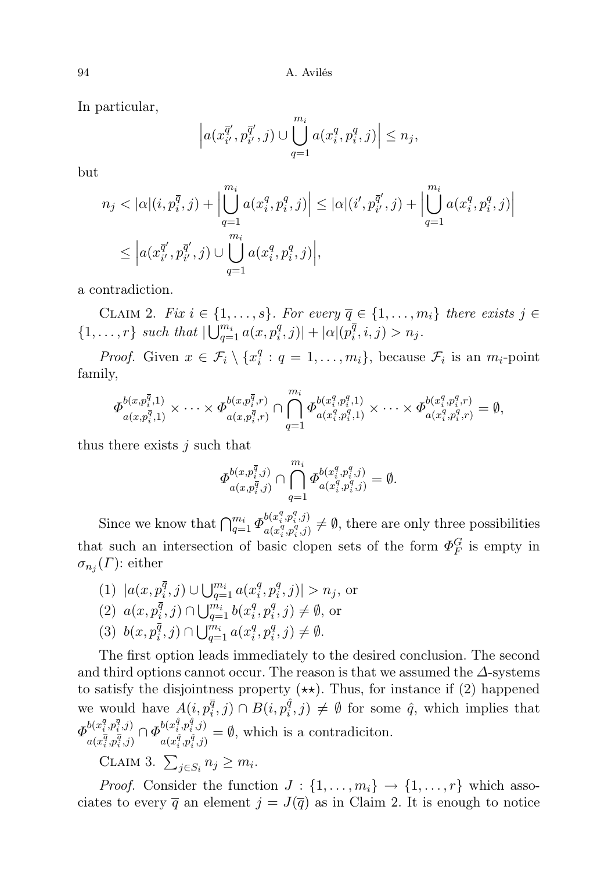In particular,

$$
\left| a(x_{i'}^{\overline{q}'}, p_{i'}^{\overline{q}'}, j) \cup \bigcup_{q=1}^{m_i} a(x_i^q, p_i^q, j) \right| \leq n_j,
$$

but

$$
n_j < |\alpha|(i, p_i^{\overline{q}}, j) + \left| \bigcup_{q=1}^{m_i} a(x_i^q, p_i^q, j) \right| \leq |\alpha|(i', p_{i'}^{\overline{q}'}, j) + \left| \bigcup_{q=1}^{m_i} a(x_i^q, p_i^q, j) \right|
$$
\n
$$
\leq \left| a(x_{i'}^{\overline{q}'}, p_{i'}^{\overline{q}'}, j) \cup \bigcup_{q=1}^{m_i} a(x_i^q, p_i^q, j) \right|,
$$

a contradiction.

CLAIM 2. Fix  $i \in \{1, \ldots, s\}$ . For every  $\overline{q} \in \{1, \ldots, m_i\}$  there exists  $j \in$  $\{1,\ldots,r\}$  such that  $\bigcup_{q=1}^{m_i} a(x,p_i^q)$  $|q^q, j)| + |\alpha| (p_i^{\overline{q}})$  $n_i^q, i, j) > n_j.$ 

*Proof.* Given  $x \in \mathcal{F}_i \setminus \{x_i^q\}$  $i_i^q: q = 1, \ldots, m_i$ , because  $\mathcal{F}_i$  is an  $m_i$ -point family,

$$
\Phi^{b(x,p_i^{\overline{q}},1)}_{a(x,p_i^{\overline{q}},1)} \times \cdots \times \Phi^{b(x,p_i^{\overline{q}},r)}_{a(x,p_i^{\overline{q}},r)} \cap \bigcap_{q=1}^{m_i} \Phi^{b(x_i^q,p_i^q,1)}_{a(x_i^q,p_i^q,1)} \times \cdots \times \Phi^{b(x_i^q,p_i^q,r)}_{a(x_i^q,p_i^q,r)} = \emptyset,
$$

thus there exists  $j$  such that

$$
\Phi_{a(x,p_i^{\overline{q}},j)}^{b(x,p_i^{\overline{q}},j)} \cap \bigcap_{q=1}^{m_i} \Phi_{a(x_i^q,p_i^q,j)}^{b(x_i^q,p_i^q,j)} = \emptyset.
$$

Since we know that  $\bigcap_{q=1}^{m_i} \Phi_{a(x_i^q, p_i^q, j)}^{b(x_i^q, p_i^q, j)}$  $a(x_i^q, p_i^q, j) \neq \emptyset$ , there are only three possibilities that such an intersection of basic clopen sets of the form  $\Phi_F^G$  is empty in  $\sigma_{n_j}(\Gamma)$ : either

(1)  $|a(x, p_i^{\bar{q}})$  $\overline{q}$ , j)  $\cup \bigcup_{q=1}^{m_i} a(x_i^q)$  $i^q, p_i^q$  $|q_i^q, j)| > n_j$ , or (2)  $a(x, p_i^{\bar{q}})$  $\overline{q}$ , j)  $\bigcap \bigcup_{q=1}^{m_i} b(x_i^q)$  $i^q, p_i^q$  $i^q, j) \neq \emptyset$ , or (3)  $b(x, p_i^{\bar{q}})$  $\overline{q}$ , j)  $\bigcap \bigcup_{q=1}^{m_i} a(x_i^q)$  $i^q, p_i^q$  $i^q, j) \neq \emptyset.$ 

The first option leads immediately to the desired conclusion. The second and third options cannot occur. The reason is that we assumed the  $\Delta$ -systems to satisfy the disjointness property  $(\star \star)$ . Thus, for instance if (2) happened we would have  $A(i, p_i^{\bar{q}}, j) \cap B(i, p_i^{\hat{q}}, j) \neq \emptyset$  for some  $\hat{q}$ , which implies that  $\varPhi^{b(x^{\overline{q}}_i,p^{\overline{q}}_i,j)}$  $\frac{b(x_i^{\overline{q}},p_i^{\overline{q}},j)}{a(x_i^{\overline{q}},p_i^{\overline{q}},j)} \cap \varPhi_{a(x_i^{\hat{q}},p_i^{\hat{q}},j)}^{b(x_i^{\hat{q}},p_i^{\hat{q}},j)}$  $a(x_i^i, p_i^i, j) = \emptyset$ , which is a contradiciton.

CLAIM 3.  $\sum_{j \in S_i} n_j \geq m_i$ .

*Proof.* Consider the function  $J: \{1, \ldots, m_i\} \to \{1, \ldots, r\}$  which associates to every  $\overline{q}$  an element  $j = J(\overline{q})$  as in Claim 2. It is enough to notice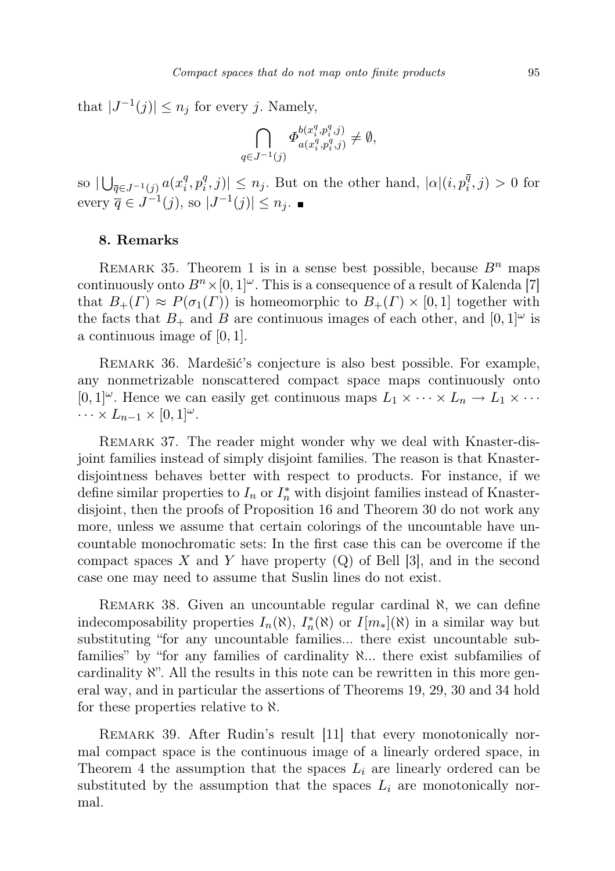that  $|J^{-1}(j)| \leq n_j$  for every j. Namely,

$$
\bigcap_{q \in J^{-1}(j)} \Phi^{b(x_i^q, p_i^q, j)}_{a(x_i^q, p_i^q, j)} \neq \emptyset,
$$

so  $|\bigcup_{\bar{q} \in J^{-1}(j)} a(x_i^q)$  $i^q, p_i^q$  $\vert \hat{q}^q(i,j) \vert \leq n_j$ . But on the other hand,  $\vert \alpha \vert (i, p_i^{\overline{q}}, j) > 0$  for every  $\overline{q} \in J^{-1}(j)$ , so  $|J^{-1}(j)| \leq n_j$ .

# 8. Remarks

REMARK 35. Theorem 1 is in a sense best possible, because  $B<sup>n</sup>$  maps continuously onto  $B<sup>n</sup> \times [0, 1]$ <sup>ω</sup>. This is a consequence of a result of Kalenda [7] that  $B_+(I) \approx P(\sigma_1(I))$  is homeomorphic to  $B_+(I) \times [0,1]$  together with the facts that  $B_+$  and B are continuous images of each other, and  $[0,1]^\omega$  is a continuous image of  $[0, 1]$ .

Remark 36. Mardešić's conjecture is also best possible. For example, any nonmetrizable nonscattered compact space maps continuously onto  $[0,1]^\omega$ . Hence we can easily get continuous maps  $L_1 \times \cdots \times L_n \to L_1 \times \cdots$  $\cdots \times L_{n-1} \times [0,1]^\omega$ .

REMARK 37. The reader might wonder why we deal with Knaster-disjoint families instead of simply disjoint families. The reason is that Knasterdisjointness behaves better with respect to products. For instance, if we define similar properties to  $I_n$  or  $I_n^*$  with disjoint families instead of Knasterdisjoint, then the proofs of Proposition 16 and Theorem 30 do not work any more, unless we assume that certain colorings of the uncountable have uncountable monochromatic sets: In the first case this can be overcome if the compact spaces X and Y have property  $(Q)$  of Bell [3], and in the second case one may need to assume that Suslin lines do not exist.

REMARK 38. Given an uncountable regular cardinal  $\aleph$ , we can define indecomposability properties  $I_n(\aleph)$ ,  $I_n^*(\aleph)$  or  $I[m_*](\aleph)$  in a similar way but substituting "for any uncountable families... there exist uncountable subfamilies" by "for any families of cardinality ℵ... there exist subfamilies of cardinality ℵ". All the results in this note can be rewritten in this more general way, and in particular the assertions of Theorems 19, 29, 30 and 34 hold for these properties relative to  $\aleph$ .

REMARK 39. After Rudin's result [11] that every monotonically normal compact space is the continuous image of a linearly ordered space, in Theorem 4 the assumption that the spaces  $L_i$  are linearly ordered can be substituted by the assumption that the spaces  $L_i$  are monotonically normal.